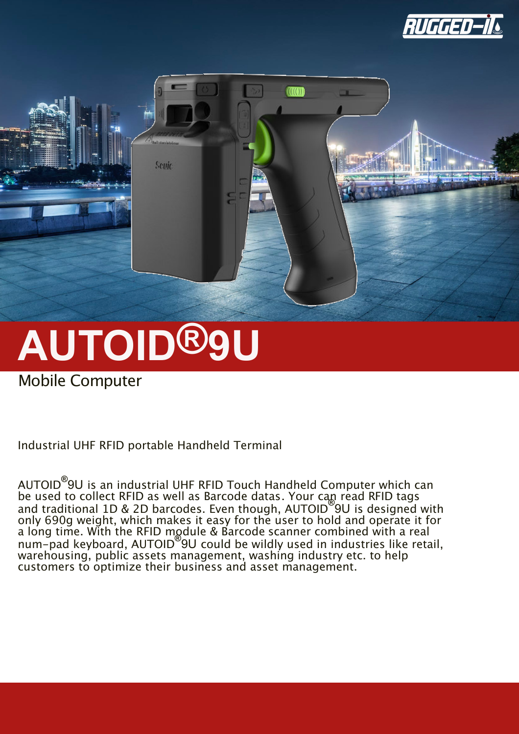



# **AUTOID®9U**

Mobile Computer

Industrial UHF RFID portable Handheld Terminal

AUTOID**®** 9U is an industrial UHF RFID Touch Handheld Computer which can be used to collect RFID as well as Barcode datas. Your can read RFID tags and traditional 1D & 2D barcodes. Even though, AUTOID**®** 9U is designed with only 690g weight, which makes it easy for the user to hold and operate it for a long time. With the RFID module & Barcode scanner combined with a real num-pad keyboard, AUTOID**®** 9U could be wildly used in industries like retail, warehousing, public assets management, washing industry etc. to help customers to optimize their business and asset management.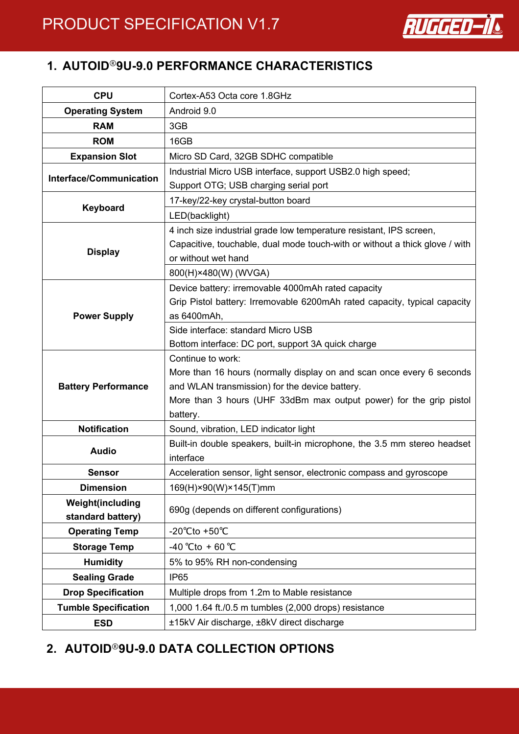

## **1. AUTOID**®**9U-9.0 PERFORMANCE CHARACTERISTICS**

| <b>CPU</b>                  | Cortex-A53 Octa core 1.8GHz                                                 |
|-----------------------------|-----------------------------------------------------------------------------|
| <b>Operating System</b>     | Android 9.0                                                                 |
| <b>RAM</b>                  | 3GB                                                                         |
| <b>ROM</b>                  | 16GB                                                                        |
| <b>Expansion Slot</b>       | Micro SD Card, 32GB SDHC compatible                                         |
| Interface/Communication     | Industrial Micro USB interface, support USB2.0 high speed;                  |
|                             | Support OTG; USB charging serial port                                       |
| Keyboard                    | 17-key/22-key crystal-button board                                          |
|                             | LED(backlight)                                                              |
|                             | 4 inch size industrial grade low temperature resistant, IPS screen,         |
| <b>Display</b>              | Capacitive, touchable, dual mode touch-with or without a thick glove / with |
|                             | or without wet hand                                                         |
|                             | 800(H)×480(W) (WVGA)                                                        |
|                             | Device battery: irremovable 4000mAh rated capacity                          |
|                             | Grip Pistol battery: Irremovable 6200mAh rated capacity, typical capacity   |
| <b>Power Supply</b>         | as 6400mAh,                                                                 |
|                             | Side interface: standard Micro USB                                          |
|                             | Bottom interface: DC port, support 3A quick charge                          |
|                             | Continue to work:                                                           |
|                             | More than 16 hours (normally display on and scan once every 6 seconds       |
| <b>Battery Performance</b>  | and WLAN transmission) for the device battery.                              |
|                             | More than 3 hours (UHF 33dBm max output power) for the grip pistol          |
|                             | battery.                                                                    |
| <b>Notification</b>         | Sound, vibration, LED indicator light                                       |
| <b>Audio</b>                | Built-in double speakers, built-in microphone, the 3.5 mm stereo headset    |
|                             | interface                                                                   |
| <b>Sensor</b>               | Acceleration sensor, light sensor, electronic compass and gyroscope         |
| <b>Dimension</b>            | 169(H)×90(W)×145(T)mm                                                       |
| <b>Weight(including</b>     | 690g (depends on different configurations)                                  |
| standard battery)           |                                                                             |
| <b>Operating Temp</b>       | -20°Cto +50°C                                                               |
| <b>Storage Temp</b>         | -40 °Cto + 60 °C                                                            |
| <b>Humidity</b>             | 5% to 95% RH non-condensing                                                 |
| <b>Sealing Grade</b>        | <b>IP65</b>                                                                 |
| <b>Drop Specification</b>   | Multiple drops from 1.2m to Mable resistance                                |
| <b>Tumble Specification</b> | 1,000 1.64 ft./0.5 m tumbles (2,000 drops) resistance                       |
| <b>ESD</b>                  | ±15kV Air discharge, ±8kV direct discharge                                  |

## **2. AUTOID**®**9U-9.0 DATA COLLECTION OPTIONS**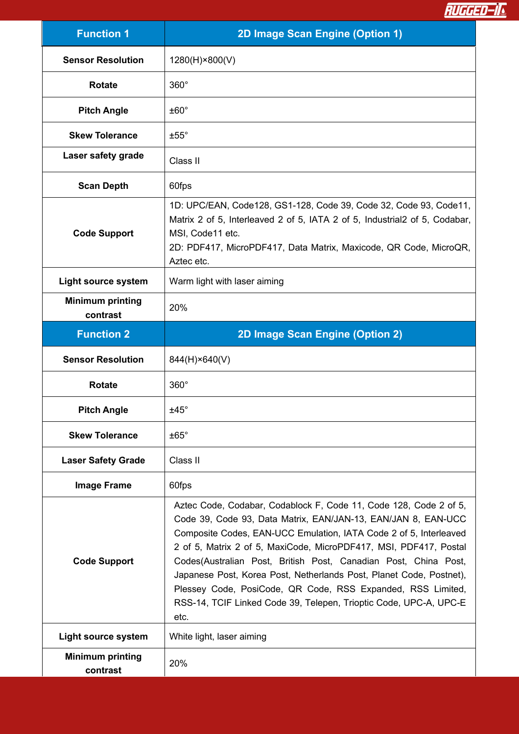

| <b>Function 1</b>                   | 2D Image Scan Engine (Option 1)                                                                                                                                                                                                                                                                                                                                                                                                                                                                                                                                    |
|-------------------------------------|--------------------------------------------------------------------------------------------------------------------------------------------------------------------------------------------------------------------------------------------------------------------------------------------------------------------------------------------------------------------------------------------------------------------------------------------------------------------------------------------------------------------------------------------------------------------|
| <b>Sensor Resolution</b>            | 1280(H)×800(V)                                                                                                                                                                                                                                                                                                                                                                                                                                                                                                                                                     |
| <b>Rotate</b>                       | $360^\circ$                                                                                                                                                                                                                                                                                                                                                                                                                                                                                                                                                        |
| <b>Pitch Angle</b>                  | $±60^{\circ}$                                                                                                                                                                                                                                                                                                                                                                                                                                                                                                                                                      |
| <b>Skew Tolerance</b>               | $±55^{\circ}$                                                                                                                                                                                                                                                                                                                                                                                                                                                                                                                                                      |
| Laser safety grade                  | Class II                                                                                                                                                                                                                                                                                                                                                                                                                                                                                                                                                           |
| <b>Scan Depth</b>                   | 60fps                                                                                                                                                                                                                                                                                                                                                                                                                                                                                                                                                              |
| <b>Code Support</b>                 | 1D: UPC/EAN, Code128, GS1-128, Code 39, Code 32, Code 93, Code11,<br>Matrix 2 of 5, Interleaved 2 of 5, IATA 2 of 5, Industrial 2of 5, Codabar,<br>MSI, Code11 etc.<br>2D: PDF417, MicroPDF417, Data Matrix, Maxicode, QR Code, MicroQR,<br>Aztec etc.                                                                                                                                                                                                                                                                                                             |
| <b>Light source system</b>          | Warm light with laser aiming                                                                                                                                                                                                                                                                                                                                                                                                                                                                                                                                       |
| <b>Minimum printing</b><br>contrast | 20%                                                                                                                                                                                                                                                                                                                                                                                                                                                                                                                                                                |
| <b>Function 2</b>                   | 2D Image Scan Engine (Option 2)                                                                                                                                                                                                                                                                                                                                                                                                                                                                                                                                    |
| <b>Sensor Resolution</b>            | 844(H)×640(V)                                                                                                                                                                                                                                                                                                                                                                                                                                                                                                                                                      |
| <b>Rotate</b>                       | $360^\circ$                                                                                                                                                                                                                                                                                                                                                                                                                                                                                                                                                        |
| <b>Pitch Angle</b>                  | $±45^{\circ}$                                                                                                                                                                                                                                                                                                                                                                                                                                                                                                                                                      |
| <b>Skew Tolerance</b>               | $±65^\circ$                                                                                                                                                                                                                                                                                                                                                                                                                                                                                                                                                        |
| <b>Laser Safety Grade</b>           | Class II                                                                                                                                                                                                                                                                                                                                                                                                                                                                                                                                                           |
| <b>Image Frame</b>                  | 60fps                                                                                                                                                                                                                                                                                                                                                                                                                                                                                                                                                              |
| <b>Code Support</b>                 | Aztec Code, Codabar, Codablock F, Code 11, Code 128, Code 2 of 5,<br>Code 39, Code 93, Data Matrix, EAN/JAN-13, EAN/JAN 8, EAN-UCC<br>Composite Codes, EAN-UCC Emulation, IATA Code 2 of 5, Interleaved<br>2 of 5, Matrix 2 of 5, MaxiCode, MicroPDF417, MSI, PDF417, Postal<br>Codes(Australian Post, British Post, Canadian Post, China Post,<br>Japanese Post, Korea Post, Netherlands Post, Planet Code, Postnet),<br>Plessey Code, PosiCode, QR Code, RSS Expanded, RSS Limited,<br>RSS-14, TCIF Linked Code 39, Telepen, Trioptic Code, UPC-A, UPC-E<br>etc. |
| Light source system                 | White light, laser aiming                                                                                                                                                                                                                                                                                                                                                                                                                                                                                                                                          |
| <b>Minimum printing</b><br>contrast | 20%                                                                                                                                                                                                                                                                                                                                                                                                                                                                                                                                                                |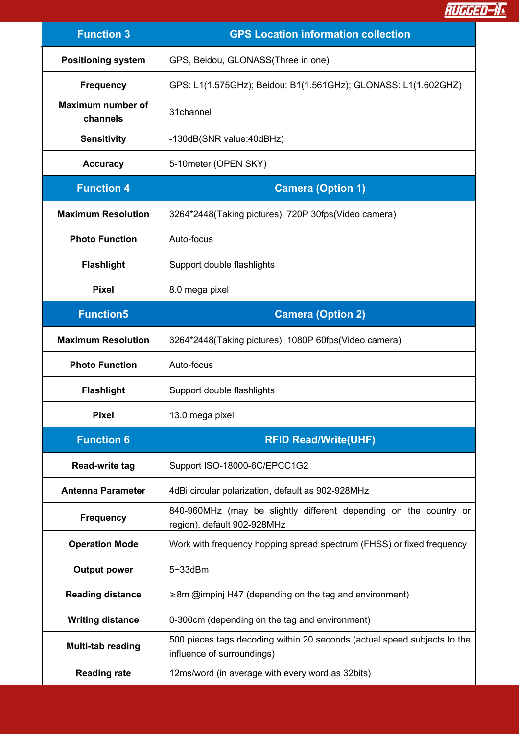RUGGED-IL

| <b>Function 3</b>             | <b>GPS Location information collection</b>                                                             |
|-------------------------------|--------------------------------------------------------------------------------------------------------|
| <b>Positioning system</b>     | GPS, Beidou, GLONASS(Three in one)                                                                     |
| <b>Frequency</b>              | GPS: L1(1.575GHz); Beidou: B1(1.561GHz); GLONASS: L1(1.602GHZ)                                         |
| Maximum number of<br>channels | 31channel                                                                                              |
| <b>Sensitivity</b>            | -130dB(SNR value:40dBHz)                                                                               |
| <b>Accuracy</b>               | 5-10 meter (OPEN SKY)                                                                                  |
| <b>Function 4</b>             | <b>Camera (Option 1)</b>                                                                               |
| <b>Maximum Resolution</b>     | 3264*2448(Taking pictures), 720P 30fps(Video camera)                                                   |
| <b>Photo Function</b>         | Auto-focus                                                                                             |
| <b>Flashlight</b>             | Support double flashlights                                                                             |
| <b>Pixel</b>                  | 8.0 mega pixel                                                                                         |
| <b>Function5</b>              | <b>Camera (Option 2)</b>                                                                               |
| <b>Maximum Resolution</b>     | 3264*2448(Taking pictures), 1080P 60fps(Video camera)                                                  |
| <b>Photo Function</b>         | Auto-focus                                                                                             |
| <b>Flashlight</b>             | Support double flashlights                                                                             |
| <b>Pixel</b>                  | 13.0 mega pixel                                                                                        |
| <b>Function 6</b>             | <b>RFID Read/Write(UHF)</b>                                                                            |
| Read-write tag                | Support ISO-18000-6C/EPCC1G2                                                                           |
| <b>Antenna Parameter</b>      | 4dBi circular polarization, default as 902-928MHz                                                      |
| <b>Frequency</b>              | 840-960MHz (may be slightly different depending on the country or<br>region), default 902-928MHz       |
| <b>Operation Mode</b>         | Work with frequency hopping spread spectrum (FHSS) or fixed frequency                                  |
| <b>Output power</b>           | 5~33dBm                                                                                                |
| <b>Reading distance</b>       | $\geq$ 8m @impinj H47 (depending on the tag and environment)                                           |
| <b>Writing distance</b>       | 0-300cm (depending on the tag and environment)                                                         |
| Multi-tab reading             | 500 pieces tags decoding within 20 seconds (actual speed subjects to the<br>influence of surroundings) |
| <b>Reading rate</b>           | 12ms/word (in average with every word as 32bits)                                                       |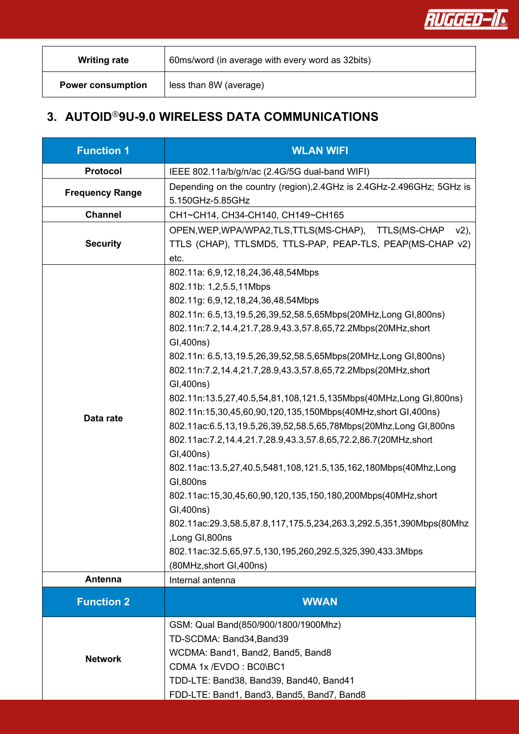

| <b>Writing rate</b>      | 60ms/word (in average with every word as 32bits) |
|--------------------------|--------------------------------------------------|
| <b>Power consumption</b> | less than 8W (average)                           |

## **3. AUTOID**®**9U-9.0 WIRELESS DATA COMMUNICATIONS**

| <b>Function 1</b>      | <b>WLAN WIFI</b>                                                                                                                                                                                                                                                                                                                                                                                                                                                                                                                                                                                                                                                                                                                                                                                                                                                                                                                                                                                                                       |
|------------------------|----------------------------------------------------------------------------------------------------------------------------------------------------------------------------------------------------------------------------------------------------------------------------------------------------------------------------------------------------------------------------------------------------------------------------------------------------------------------------------------------------------------------------------------------------------------------------------------------------------------------------------------------------------------------------------------------------------------------------------------------------------------------------------------------------------------------------------------------------------------------------------------------------------------------------------------------------------------------------------------------------------------------------------------|
| <b>Protocol</b>        | IEEE 802.11a/b/g/n/ac (2.4G/5G dual-band WIFI)                                                                                                                                                                                                                                                                                                                                                                                                                                                                                                                                                                                                                                                                                                                                                                                                                                                                                                                                                                                         |
| <b>Frequency Range</b> | Depending on the country (region), 2.4 GHz is 2.4 GHz-2.496 GHz; 5 GHz is<br>5.150GHz-5.85GHz                                                                                                                                                                                                                                                                                                                                                                                                                                                                                                                                                                                                                                                                                                                                                                                                                                                                                                                                          |
| <b>Channel</b>         | CH1~CH14, CH34-CH140, CH149~CH165                                                                                                                                                                                                                                                                                                                                                                                                                                                                                                                                                                                                                                                                                                                                                                                                                                                                                                                                                                                                      |
| <b>Security</b>        | OPEN, WEP, WPA/WPA2, TLS, TTLS (MS-CHAP), TTLS (MS-CHAP v2),<br>TTLS (CHAP), TTLSMD5, TTLS-PAP, PEAP-TLS, PEAP(MS-CHAP v2)<br>etc.                                                                                                                                                                                                                                                                                                                                                                                                                                                                                                                                                                                                                                                                                                                                                                                                                                                                                                     |
| Data rate              | 802.11a: 6,9,12,18,24,36,48,54Mbps<br>802.11b: 1,2,5.5,11Mbps<br>802.11g: 6,9,12,18,24,36,48,54Mbps<br>802.11n: 6.5,13,19.5,26,39,52,58.5,65Mbps(20MHz,Long GI,800ns)<br>802.11n:7.2,14.4,21.7,28.9,43.3,57.8,65,72.2Mbps(20MHz,short<br>GI,400ns)<br>802.11n: 6.5,13,19.5,26,39,52,58.5,65Mbps(20MHz,Long GI,800ns)<br>802.11n:7.2,14.4,21.7,28.9,43.3,57.8,65,72.2Mbps(20MHz,short<br>GI,400ns)<br>802.11n:13.5,27,40.5,54,81,108,121.5,135Mbps(40MHz,Long GI,800ns)<br>802.11n:15,30,45,60,90,120,135,150Mbps(40MHz,short GI,400ns)<br>802.11ac:6.5,13,19.5,26,39,52,58.5,65,78Mbps(20Mhz,Long GI,800ns<br>802.11ac:7.2,14.4,21.7,28.9,43.3,57.8,65,72.2,86.7(20MHz,short<br>GI,400ns)<br>802.11ac:13.5,27,40.5,5481,108,121.5,135,162,180Mbps(40Mhz,Long<br>GI.800ns<br>802.11ac:15,30,45,60,90,120,135,150,180,200Mbps(40MHz,short<br>GI,400ns)<br>802.11ac:29.3,58.5,87.8,117,175.5,234,263.3,292.5,351,390Mbps(80Mhz<br>,Long GI,800ns<br>802.11ac:32.5,65,97.5,130,195,260,292.5,325,390,433.3Mbps<br>(80MHz, short GI, 400ns) |
| <b>Antenna</b>         | Internal antenna                                                                                                                                                                                                                                                                                                                                                                                                                                                                                                                                                                                                                                                                                                                                                                                                                                                                                                                                                                                                                       |
| <b>Function 2</b>      | <b>WWAN</b>                                                                                                                                                                                                                                                                                                                                                                                                                                                                                                                                                                                                                                                                                                                                                                                                                                                                                                                                                                                                                            |
| <b>Network</b>         | GSM: Qual Band(850/900/1800/1900Mhz)<br>TD-SCDMA: Band34, Band39<br>WCDMA: Band1, Band2, Band5, Band8<br>CDMA 1x /EVDO: BC0\BC1<br>TDD-LTE: Band38, Band39, Band40, Band41<br>FDD-LTE: Band1, Band3, Band5, Band7, Band8                                                                                                                                                                                                                                                                                                                                                                                                                                                                                                                                                                                                                                                                                                                                                                                                               |